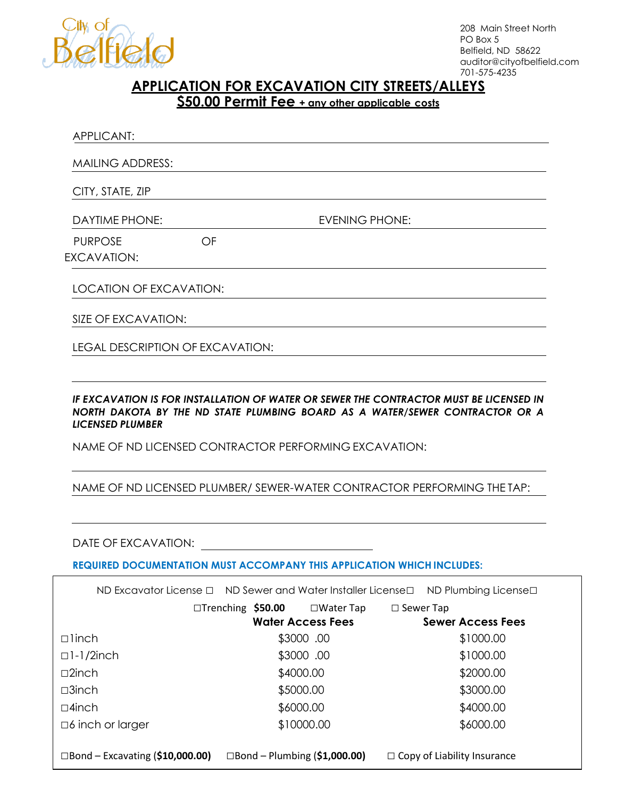

208 Main Street North PO Box 5 Belfield, ND 58622 auditor@cityofbelfield.com 701-575-4235

## **APPLICATION FOR EXCAVATION CITY STREETS/ALLEYS**

**\$50.00 Permit Fee + any other applicable costs**

| APPLICANT:                     |                                         |                       |  |  |
|--------------------------------|-----------------------------------------|-----------------------|--|--|
| <b>MAILING ADDRESS:</b>        |                                         |                       |  |  |
| CITY, STATE, ZIP               |                                         |                       |  |  |
| <b>DAYTIME PHONE:</b>          |                                         | <b>EVENING PHONE:</b> |  |  |
| <b>PURPOSE</b>                 | OF                                      |                       |  |  |
| EXCAVATION:                    |                                         |                       |  |  |
| <b>LOCATION OF EXCAVATION:</b> |                                         |                       |  |  |
| SIZE OF EXCAVATION:            |                                         |                       |  |  |
|                                | <b>LEGAL DESCRIPTION OF EXCAVATION:</b> |                       |  |  |

IF EXCAVATION IS FOR INSTALLATION OF WATER OR SEWER THE CONTRACTOR MUST BE LICENSED IN *NORTH DAKOTA BY THE ND STATE PLUMBING BOARD AS A WATER/SEWER CONTRACTOR OR A LICENSED PLUMBER*

NAME OF ND LICENSED CONTRACTOR PERFORMING EXCAVATION:

## NAME OF ND LICENSED PLUMBER/ SEWER-WATER CONTRACTOR PERFORMING THE TAP:

## DATE OF EXCAVATION:

**REQUIRED DOCUMENTATION MUST ACCOMPANY THIS APPLICATION WHICH INCLUDES:**

|                         | ND Excavator License $\Box$ ND Sewer and Water Installer License $\Box$ ND Plumbing License $\Box$ |                          |                  |                     |                          |
|-------------------------|----------------------------------------------------------------------------------------------------|--------------------------|------------------|---------------------|--------------------------|
|                         | □Trenching \$50.00                                                                                 |                          | $\Box$ Water Tap | $\square$ Sewer Tap |                          |
|                         |                                                                                                    | <b>Water Access Fees</b> |                  |                     | <b>Sewer Access Fees</b> |
| $\Box$ linch            |                                                                                                    | \$3000.00                |                  |                     | \$1000.00                |
| $\Box$ ]-1/2inch        |                                                                                                    | \$3000.00                |                  |                     | \$1000.00                |
| $\square$ 2inch         |                                                                                                    | \$4000.00                |                  |                     | \$2000.00                |
| $\square$ 3inch         |                                                                                                    | \$5000.00                |                  |                     | \$3000.00                |
| $\Box$ 4 inch           |                                                                                                    | \$6000.00                |                  |                     | \$4000.00                |
| $\Box$ 6 inch or larger |                                                                                                    | \$10000.00               |                  |                     | \$6000.00                |
|                         |                                                                                                    |                          |                  |                     |                          |

□Bond – Excavating (**\$10,000.00)** □Bond – Plumbing (**\$1,000.00) □** Copy of Liability Insurance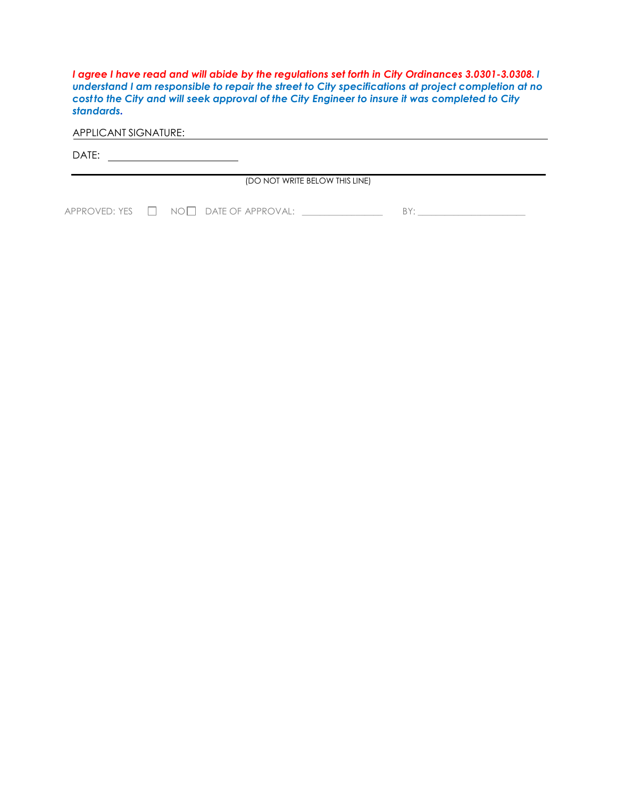*I agree I have read and will abide by the regulations set forth in City Ordinances 3.0301-3.0308. I understand I am responsible to repair the street to City specifications at project completion at no costto the City and will seek approval of the City Engineer to insure it was completed to City standards.*

APPLICANT SIGNATURE:

DATE:

(DO NOT WRITE BELOW THIS LINE)

APPROVED: YES NO DATE OF APPROVAL: \_\_\_\_\_\_\_\_\_\_\_\_\_\_\_\_\_\_ BY: \_\_\_\_\_\_\_\_\_\_\_\_\_\_\_\_\_\_\_\_\_\_\_\_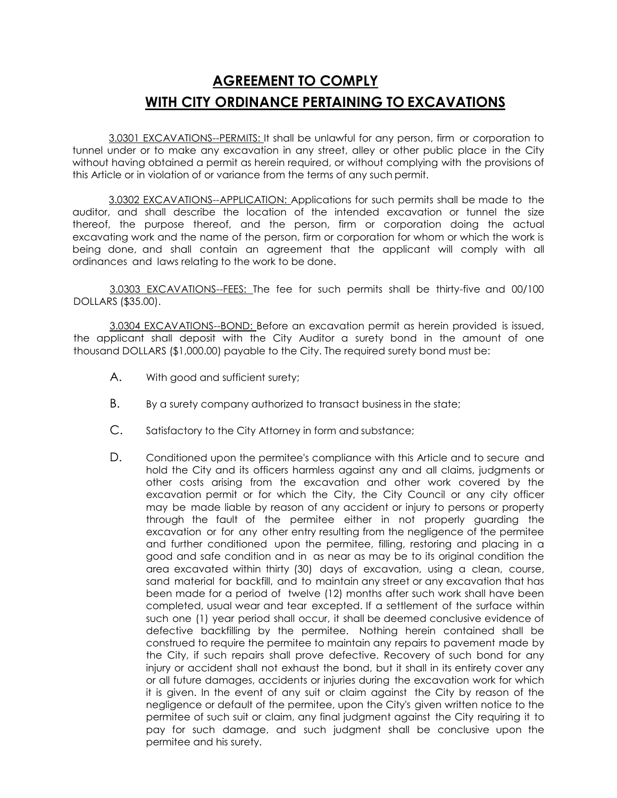## **AGREEMENT TO COMPLY WITH CITY ORDINANCE PERTAINING TO EXCAVATIONS**

3.0301 EXCAVATIONS--PERMITS: It shall be unlawful for any person, firm or corporation to tunnel under or to make any excavation in any street, alley or other public place in the City without having obtained a permit as herein required, or without complying with the provisions of this Article or in violation of or variance from the terms of any such permit.

3.0302 EXCAVATIONS--APPLICATION: Applications for such permits shall be made to the auditor, and shall describe the location of the intended excavation or tunnel the size thereof, the purpose thereof, and the person, firm or corporation doing the actual excavating work and the name of the person, firm or corporation for whom or which the work is being done, and shall contain an agreement that the applicant will comply with all ordinances and laws relating to the work to be done.

3.0303 EXCAVATIONS--FEES: The fee for such permits shall be thirty-five and 00/100 DOLLARS (\$35.00).

3.0304 EXCAVATIONS--BOND: Before an excavation permit as herein provided is issued, the applicant shall deposit with the City Auditor a surety bond in the amount of one thousand DOLLARS (\$1,000.00) payable to the City. The required surety bond must be:

- A. With good and sufficient surety;
- B. By a surety company authorized to transact business in the state;
- C. Satisfactory to the City Attorney in form and substance;
- D. Conditioned upon the permitee's compliance with this Article and to secure and hold the City and its officers harmless against any and all claims, judgments or other costs arising from the excavation and other work covered by the excavation permit or for which the City, the City Council or any city officer may be made liable by reason of any accident or injury to persons or property through the fault of the permitee either in not properly guarding the excavation or for any other entry resulting from the negligence of the permitee and further conditioned upon the permitee, filling, restoring and placing in a good and safe condition and in as near as may be to its original condition the area excavated within thirty (30) days of excavation, using a clean, course, sand material for backfill, and to maintain any street or any excavation that has been made for a period of twelve (12) months after such work shall have been completed, usual wear and tear excepted. If a settlement of the surface within such one (1) year period shall occur, it shall be deemed conclusive evidence of defective backfilling by the permitee. Nothing herein contained shall be construed to require the permitee to maintain any repairs to pavement made by the City, if such repairs shall prove defective. Recovery of such bond for any injury or accident shall not exhaust the bond, but it shall in its entirety cover any or all future damages, accidents or injuries during the excavation work for which it is given. In the event of any suit or claim against the City by reason of the negligence or default of the permitee, upon the City's given written notice to the permitee of such suit or claim, any final judgment against the City requiring it to pay for such damage, and such judgment shall be conclusive upon the permitee and his surety.